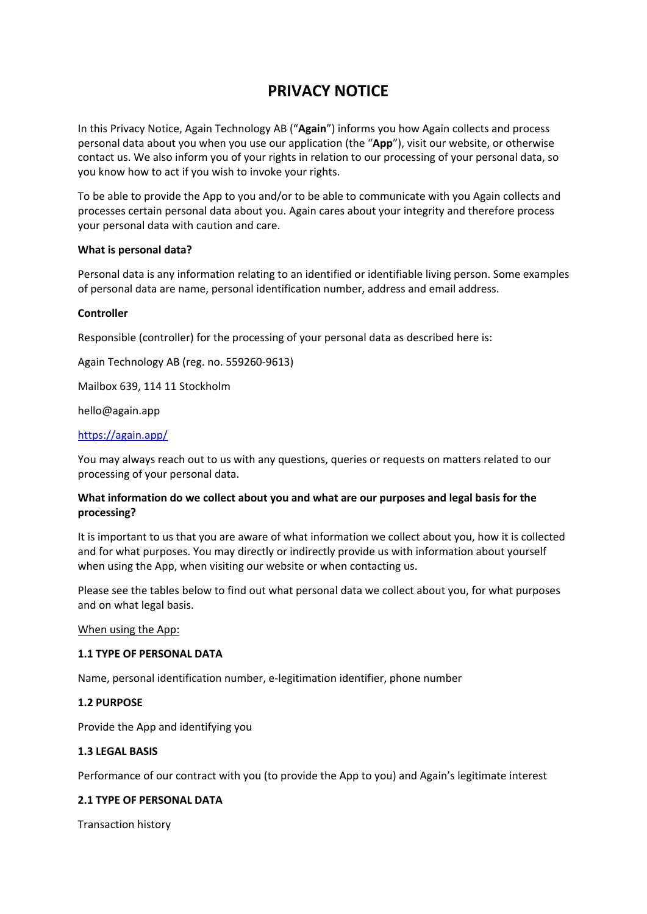# **PRIVACY NOTICE**

In this Privacy Notice, Again Technology AB ("**Again**") informs you how Again collects and process personal data about you when you use our application (the "**App**"), visit our website, or otherwise contact us. We also inform you of your rights in relation to our processing of your personal data, so you know how to act if you wish to invoke your rights.

To be able to provide the App to you and/or to be able to communicate with you Again collects and processes certain personal data about you. Again cares about your integrity and therefore process your personal data with caution and care.

## **What is personal data?**

Personal data is any information relating to an identified or identifiable living person. Some examples of personal data are name, personal identification number, address and email address.

#### **Controller**

Responsible (controller) for the processing of your personal data as described here is:

Again Technology AB (reg. no. 559260-9613)

Mailbox 639, 114 11 Stockholm

hello@again.app

## https://again.app/

You may always reach out to us with any questions, queries or requests on matters related to our processing of your personal data.

# **What information do we collect about you and what are our purposes and legal basis for the processing?**

It is important to us that you are aware of what information we collect about you, how it is collected and for what purposes. You may directly or indirectly provide us with information about yourself when using the App, when visiting our website or when contacting us.

Please see the tables below to find out what personal data we collect about you, for what purposes and on what legal basis.

When using the App:

## **1.1 TYPE OF PERSONAL DATA**

Name, personal identification number, e-legitimation identifier, phone number

# **1.2 PURPOSE**

Provide the App and identifying you

## **1.3 LEGAL BASIS**

Performance of our contract with you (to provide the App to you) and Again's legitimate interest

## **2.1 TYPE OF PERSONAL DATA**

Transaction history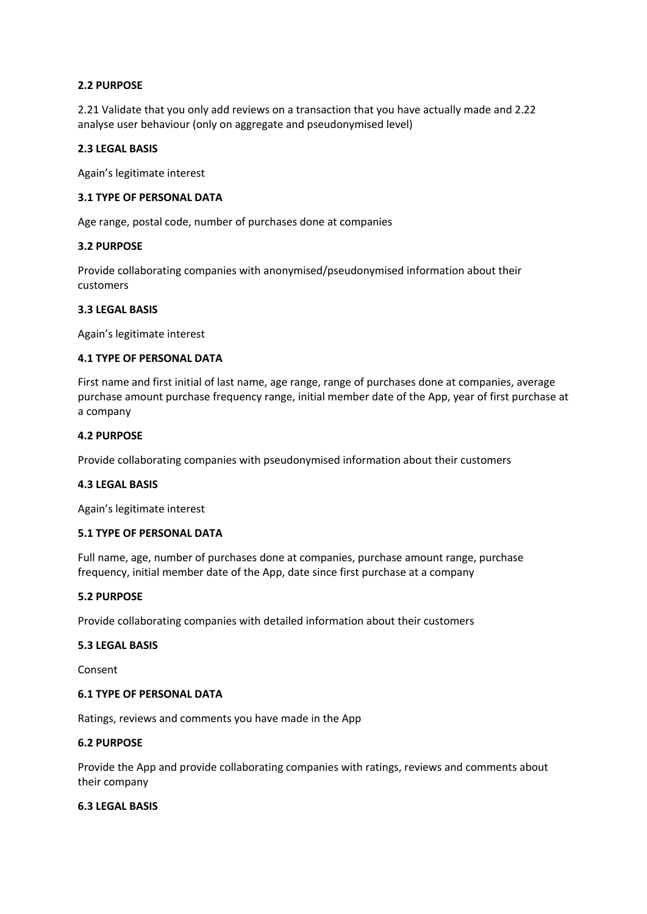## **2.2 PURPOSE**

2.21 Validate that you only add reviews on a transaction that you have actually made and 2.22 analyse user behaviour (only on aggregate and pseudonymised level)

## **2.3 LEGAL BASIS**

Again's legitimate interest

## **3.1 TYPE OF PERSONAL DATA**

Age range, postal code, number of purchases done at companies

## **3.2 PURPOSE**

Provide collaborating companies with anonymised/pseudonymised information about their customers

# **3.3 LEGAL BASIS**

Again's legitimate interest

# **4.1 TYPE OF PERSONAL DATA**

First name and first initial of last name, age range, range of purchases done at companies, average purchase amount purchase frequency range, initial member date of the App, year of first purchase at a company

## **4.2 PURPOSE**

Provide collaborating companies with pseudonymised information about their customers

## **4.3 LEGAL BASIS**

Again's legitimate interest

## **5.1 TYPE OF PERSONAL DATA**

Full name, age, number of purchases done at companies, purchase amount range, purchase frequency, initial member date of the App, date since first purchase at a company

## **5.2 PURPOSE**

Provide collaborating companies with detailed information about their customers

## **5.3 LEGAL BASIS**

Consent

## **6.1 TYPE OF PERSONAL DATA**

Ratings, reviews and comments you have made in the App

## **6.2 PURPOSE**

Provide the App and provide collaborating companies with ratings, reviews and comments about their company

## **6.3 LEGAL BASIS**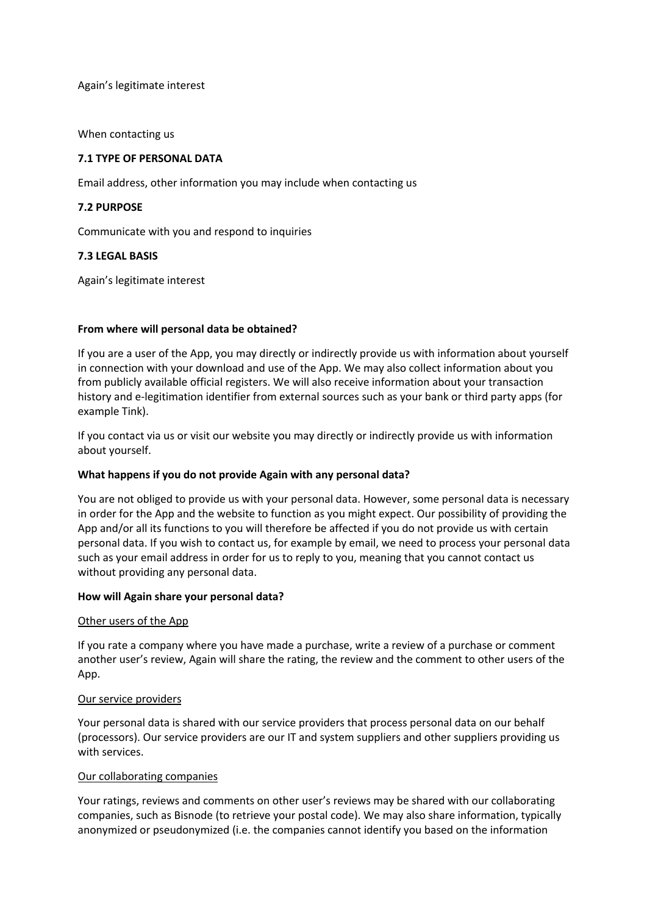Again's legitimate interest

When contacting us

# **7.1 TYPE OF PERSONAL DATA**

Email address, other information you may include when contacting us

# **7.2 PURPOSE**

Communicate with you and respond to inquiries

# **7.3 LEGAL BASIS**

Again's legitimate interest

## **From where will personal data be obtained?**

If you are a user of the App, you may directly or indirectly provide us with information about yourself in connection with your download and use of the App. We may also collect information about you from publicly available official registers. We will also receive information about your transaction history and e-legitimation identifier from external sources such as your bank or third party apps (for example Tink).

If you contact via us or visit our website you may directly or indirectly provide us with information about yourself.

## **What happens if you do not provide Again with any personal data?**

You are not obliged to provide us with your personal data. However, some personal data is necessary in order for the App and the website to function as you might expect. Our possibility of providing the App and/or all its functions to you will therefore be affected if you do not provide us with certain personal data. If you wish to contact us, for example by email, we need to process your personal data such as your email address in order for us to reply to you, meaning that you cannot contact us without providing any personal data.

## **How will Again share your personal data?**

## Other users of the App

If you rate a company where you have made a purchase, write a review of a purchase or comment another user's review, Again will share the rating, the review and the comment to other users of the App.

## Our service providers

Your personal data is shared with our service providers that process personal data on our behalf (processors). Our service providers are our IT and system suppliers and other suppliers providing us with services.

## Our collaborating companies

Your ratings, reviews and comments on other user's reviews may be shared with our collaborating companies, such as Bisnode (to retrieve your postal code). We may also share information, typically anonymized or pseudonymized (i.e. the companies cannot identify you based on the information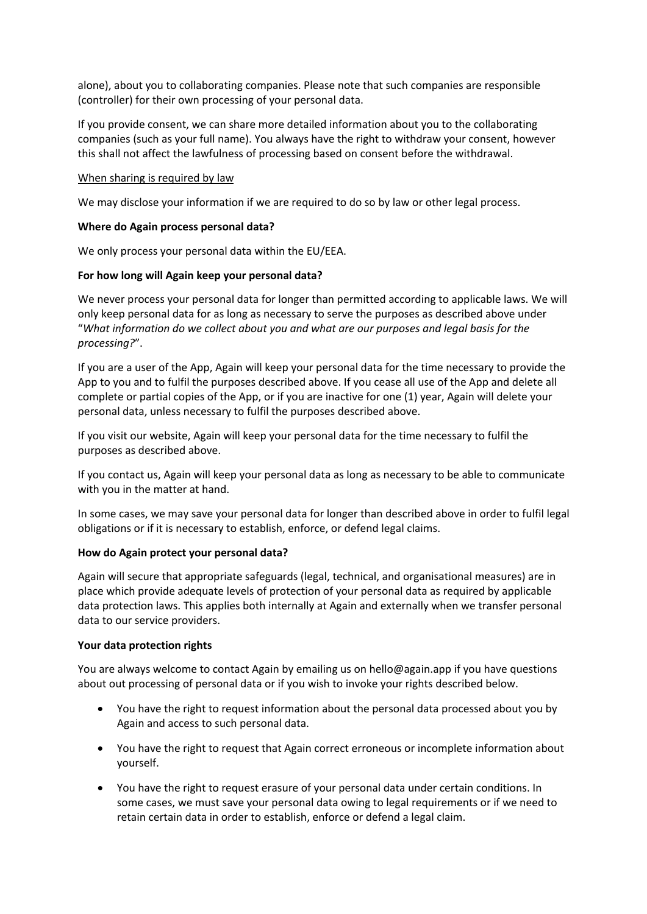alone), about you to collaborating companies. Please note that such companies are responsible (controller) for their own processing of your personal data.

If you provide consent, we can share more detailed information about you to the collaborating companies (such as your full name). You always have the right to withdraw your consent, however this shall not affect the lawfulness of processing based on consent before the withdrawal.

## When sharing is required by law

We may disclose your information if we are required to do so by law or other legal process.

## **Where do Again process personal data?**

We only process your personal data within the EU/EEA.

# **For how long will Again keep your personal data?**

We never process your personal data for longer than permitted according to applicable laws. We will only keep personal data for as long as necessary to serve the purposes as described above under "*What information do we collect about you and what are our purposes and legal basis for the processing?*".

If you are a user of the App, Again will keep your personal data for the time necessary to provide the App to you and to fulfil the purposes described above. If you cease all use of the App and delete all complete or partial copies of the App, or if you are inactive for one (1) year, Again will delete your personal data, unless necessary to fulfil the purposes described above.

If you visit our website, Again will keep your personal data for the time necessary to fulfil the purposes as described above.

If you contact us, Again will keep your personal data as long as necessary to be able to communicate with you in the matter at hand.

In some cases, we may save your personal data for longer than described above in order to fulfil legal obligations or if it is necessary to establish, enforce, or defend legal claims.

## **How do Again protect your personal data?**

Again will secure that appropriate safeguards (legal, technical, and organisational measures) are in place which provide adequate levels of protection of your personal data as required by applicable data protection laws. This applies both internally at Again and externally when we transfer personal data to our service providers.

## **Your data protection rights**

You are always welcome to contact Again by emailing us on hello@again.app if you have questions about out processing of personal data or if you wish to invoke your rights described below.

- You have the right to request information about the personal data processed about you by Again and access to such personal data.
- You have the right to request that Again correct erroneous or incomplete information about yourself.
- You have the right to request erasure of your personal data under certain conditions. In some cases, we must save your personal data owing to legal requirements or if we need to retain certain data in order to establish, enforce or defend a legal claim.